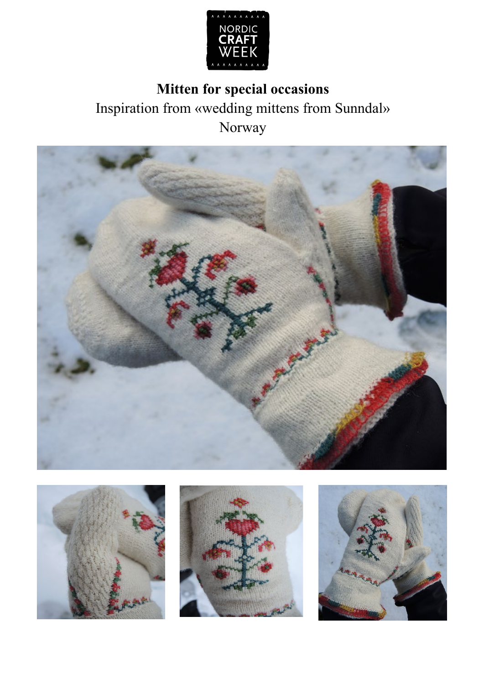

# **Mitten for special occasions** Inspiration from «wedding mittens from Sunndal» Norway







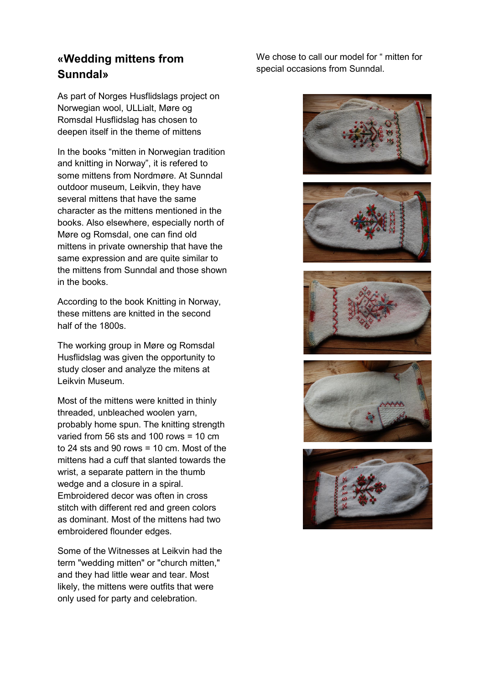## **«Wedding mittens from Sunndal»**

As part of Norges Husflidslags project on Norwegian wool, ULLialt, Møre og Romsdal Husflidslag has chosen to deepen itself in the theme of mittens

In the books "mitten in Norwegian tradition and knitting in Norway", it is refered to some mittens from Nordmøre. At Sunndal outdoor museum, Leikvin, they have several mittens that have the same character as the mittens mentioned in the books. Also elsewhere, especially north of Møre og Romsdal, one can find old mittens in private ownership that have the same expression and are quite similar to the mittens from Sunndal and those shown in the books.

According to the book Knitting in Norway, these mittens are knitted in the second half of the 1800s.

The working group in Møre og Romsdal Husflidslag was given the opportunity to study closer and analyze the mitens at Leikvin Museum.

Most of the mittens were knitted in thinly threaded, unbleached woolen yarn, probably home spun. The knitting strength varied from 56 sts and 100 rows = 10 cm to 24 sts and 90 rows = 10 cm. Most of the mittens had a cuff that slanted towards the wrist, a separate pattern in the thumb wedge and a closure in a spiral. Embroidered decor was often in cross stitch with different red and green colors as dominant. Most of the mittens had two embroidered flounder edges.

Some of the Witnesses at Leikvin had the term "wedding mitten" or "church mitten," and they had little wear and tear. Most likely, the mittens were outfits that were only used for party and celebration.

We chose to call our model for " mitten for special occasions from Sunndal.









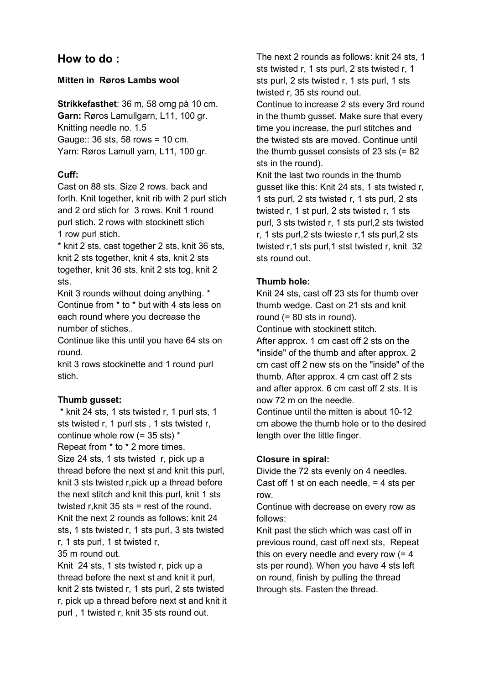## **How to do :**

## **Mitten in Røros Lambs wool**

**Strikkefasthet**: 36 m, 58 omg på 10 cm. **Garn:** Røros Lamullgarn, L11, 100 gr. Knitting needle no. 1.5 Gauge:: 36 sts, 58 rows = 10 cm. Yarn: Røros Lamull yarn, L11, 100 gr.

## **Cuff:**

Cast on 88 sts. Size 2 rows. back and forth. Knit together, knit rib with 2 purl stich and 2 ord stich for 3 rows. Knit 1 round purl stich. 2 rows with stockinett stich 1 row purl stich.

\* knit 2 sts, cast together 2 sts, knit 36 sts, knit 2 sts together, knit 4 sts, knit 2 sts together, knit 36 sts, knit 2 sts tog, knit 2 sts.

Knit 3 rounds without doing anything. \* Continue from \* to \* but with 4 sts less on each round where you decrease the number of stiches..

Continue like this until you have 64 sts on round.

knit 3 rows stockinette and 1 round purl stich.

#### **Thumb gusset:**

\* knit 24 sts, 1 sts twisted r, 1 purl sts, 1 sts twisted r, 1 purl sts , 1 sts twisted r, continue whole row (= 35 sts) \*

Repeat from \* to \* 2 more times. Size 24 sts, 1 sts twisted r, pick up a thread before the next st and knit this purl, knit 3 sts twisted r,pick up a thread before the next stitch and knit this purl, knit 1 sts twisted r,knit 35 sts = rest of the round. Knit the next 2 rounds as follows: knit 24 sts, 1 sts twisted r, 1 sts purl, 3 sts twisted r, 1 sts purl, 1 st twisted r,

35 m round out.

Knit 24 sts, 1 sts twisted r, pick up a thread before the next st and knit it purl, knit 2 sts twisted r, 1 sts purl, 2 sts twisted r, pick up a thread before next st and knit it purl , 1 twisted r, knit 35 sts round out.

The next 2 rounds as follows: knit 24 sts, 1 sts twisted r, 1 sts purl, 2 sts twisted r, 1 sts purl, 2 sts twisted r, 1 sts purl, 1 sts twisted r, 35 sts round out. Continue to increase 2 sts every 3rd round in the thumb gusset. Make sure that every time you increase, the purl stitches and the twisted sts are moved. Continue until the thumb gusset consists of 23 sts (= 82 sts in the round).

Knit the last two rounds in the thumb gusset like this: Knit 24 sts, 1 sts twisted r, 1 sts purl, 2 sts twisted r, 1 sts purl, 2 sts twisted r, 1 st purl, 2 sts twisted r, 1 sts purl, 3 sts twisted r, 1 sts purl,2 sts twisted r, 1 sts purl,2 sts twieste r,1 sts purl,2 sts twisted r,1 sts purl,1 stst twisted r, knit 32 sts round out.

## **Thumb hole:**

Knit 24 sts, cast off 23 sts for thumb over thumb wedge. Cast on 21 sts and knit round (= 80 sts in round).

Continue with stockinett stitch.

After approx. 1 cm cast off 2 sts on the "inside" of the thumb and after approx. 2 cm cast off 2 new sts on the "inside" of the thumb. After approx. 4 cm cast off 2 sts and after approx. 6 cm cast off 2 sts. It is now 72 m on the needle.

Continue until the mitten is about 10-12 cm abowe the thumb hole or to the desired length over the little finger.

## **Closure in spiral:**

Divide the 72 sts evenly on 4 needles. Cast off 1 st on each needle, = 4 sts per row.

Continue with decrease on every row as follows:

Knit past the stich which was cast off in previous round, cast off next sts, Repeat this on every needle and every row  $(= 4)$ sts per round). When you have 4 sts left on round, finish by pulling the thread through sts. Fasten the thread.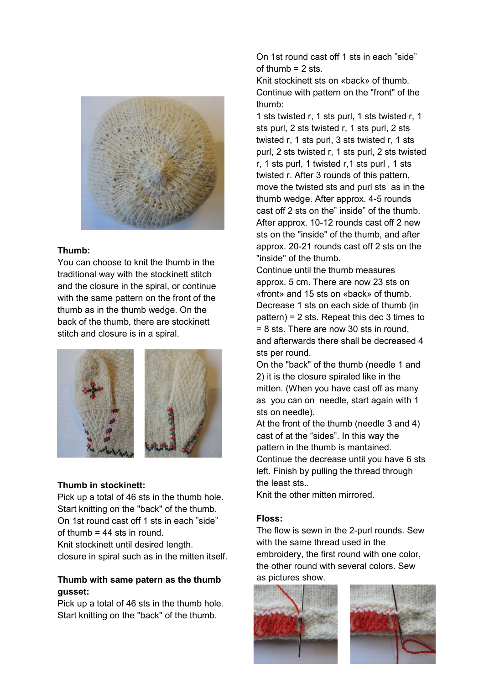

#### **Thumb:**

You can choose to knit the thumb in the traditional way with the stockinett stitch and the closure in the spiral, or continue with the same pattern on the front of the thumb as in the thumb wedge. On the back of the thumb, there are stockinett stitch and closure is in a spiral.



#### **Thumb in stockinett:**

Pick up a total of 46 sts in the thumb hole. Start knitting on the "back" of the thumb. On 1st round cast off 1 sts in each "side" of thumb = 44 sts in round. Knit stockinett until desired length.

closure in spiral such as in the mitten itself.

#### **Thumb with same patern as the thumb gusset:**

Pick up a total of 46 sts in the thumb hole. Start knitting on the "back" of the thumb.

On 1st round cast off 1 sts in each "side" of thumb  $= 2$  sts.

Knit stockinett sts on «back» of thumb. Continue with pattern on the "front" of the thumb:

1 sts twisted r, 1 sts purl, 1 sts twisted r, 1 sts purl, 2 sts twisted r, 1 sts purl, 2 sts twisted r, 1 sts purl, 3 sts twisted r, 1 sts purl, 2 sts twisted r, 1 sts purl, 2 sts twisted r, 1 sts purl, 1 twisted r,1 sts purl , 1 sts twisted r. After 3 rounds of this pattern, move the twisted sts and purl sts as in the thumb wedge. After approx. 4-5 rounds cast off 2 sts on the" inside" of the thumb. After approx. 10-12 rounds cast off 2 new sts on the "inside" of the thumb, and after approx. 20-21 rounds cast off 2 sts on the "inside" of the thumb.

Continue until the thumb measures approx. 5 cm. There are now 23 sts on «front» and 15 sts on «back» of thumb. Decrease 1 sts on each side of thumb (in pattern) = 2 sts. Repeat this dec 3 times to = 8 sts. There are now 30 sts in round, and afterwards there shall be decreased 4 sts per round.

On the "back" of the thumb (needle 1 and 2) it is the closure spiraled like in the mitten. (When you have cast off as many as you can on needle, start again with 1 sts on needle).

At the front of the thumb (needle 3 and 4) cast of at the "sides". In this way the pattern in the thumb is mantained. Continue the decrease until you have 6 sts left. Finish by pulling the thread through the least sts..

Knit the other mitten mirrored.

#### **Floss:**

The flow is sewn in the 2-purl rounds. Sew with the same thread used in the embroidery, the first round with one color, the other round with several colors. Sew as pictures show.